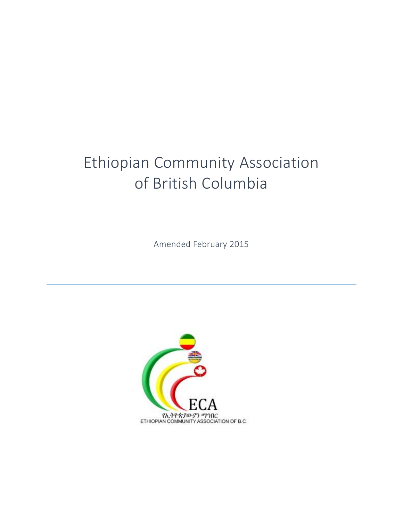# Ethiopian Community Association of British Columbia

Amended February 2015

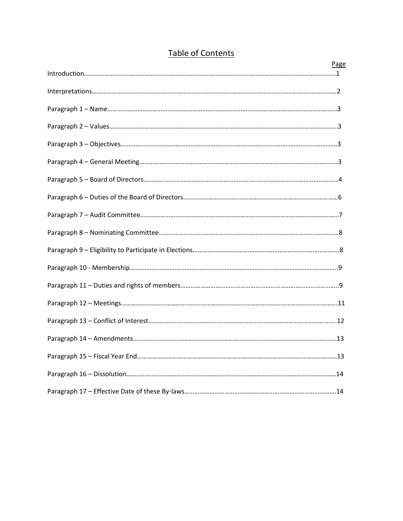| Page |
|------|
|      |
|      |
|      |
|      |
|      |
|      |
|      |
|      |
|      |
|      |
|      |
|      |
|      |
|      |
|      |
|      |
|      |
|      |
|      |

# Table of Contents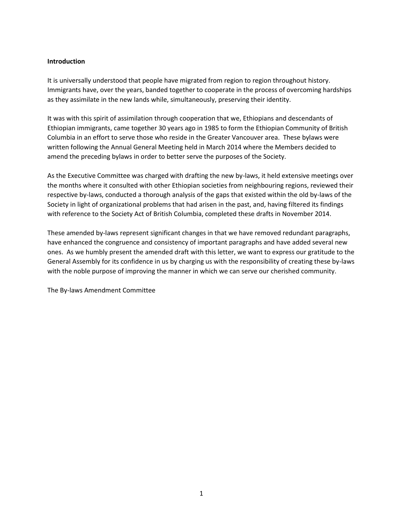# **Introduction**

It is universally understood that people have migrated from region to region throughout history. Immigrants have, over the years, banded together to cooperate in the process of overcoming hardships as they assimilate in the new lands while, simultaneously, preserving their identity.

It was with this spirit of assimilation through cooperation that we, Ethiopians and descendants of Ethiopian immigrants, came together 30 years ago in 1985 to form the Ethiopian Community of British Columbia in an effort to serve those who reside in the Greater Vancouver area. These bylaws were written following the Annual General Meeting held in March 2014 where the Members decided to amend the preceding bylaws in order to better serve the purposes of the Society.

As the Executive Committee was charged with drafting the new by-laws, it held extensive meetings over the months where it consulted with other Ethiopian societies from neighbouring regions, reviewed their respective by-laws, conducted a thorough analysis of the gaps that existed within the old by-laws of the Society in light of organizational problems that had arisen in the past, and, having filtered its findings with reference to the Society Act of British Columbia, completed these drafts in November 2014.

These amended by-laws represent significant changes in that we have removed redundant paragraphs, have enhanced the congruence and consistency of important paragraphs and have added several new ones. As we humbly present the amended draft with this letter, we want to express our gratitude to the General Assembly for its confidence in us by charging us with the responsibility of creating these by-laws with the noble purpose of improving the manner in which we can serve our cherished community.

The By-laws Amendment Committee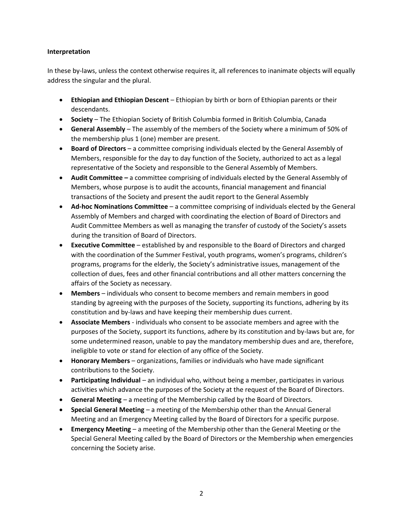# **Interpretation**

In these by-laws, unless the context otherwise requires it, all references to inanimate objects will equally address the singular and the plural.

- **Ethiopian and Ethiopian Descent** Ethiopian by birth or born of Ethiopian parents or their descendants.
- **Society** The Ethiopian Society of British Columbia formed in British Columbia, Canada
- **General Assembly** The assembly of the members of the Society where a minimum of 50% of the membership plus 1 (one) member are present.
- **Board of Directors** a committee comprising individuals elected by the General Assembly of Members, responsible for the day to day function of the Society, authorized to act as a legal representative of the Society and responsible to the General Assembly of Members.
- **Audit Committee –** a committee comprising of individuals elected by the General Assembly of Members, whose purpose is to audit the accounts, financial management and financial transactions of the Society and present the audit report to the General Assembly
- **Ad-hoc Nominations Committee** a committee comprising of individuals elected by the General Assembly of Members and charged with coordinating the election of Board of Directors and Audit Committee Members as well as managing the transfer of custody of the Society's assets during the transition of Board of Directors.
- **Executive Committee** established by and responsible to the Board of Directors and charged with the coordination of the Summer Festival, youth programs, women's programs, children's programs, programs for the elderly, the Society's administrative issues, management of the collection of dues, fees and other financial contributions and all other matters concerning the affairs of the Society as necessary.
- **Members** individuals who consent to become members and remain members in good standing by agreeing with the purposes of the Society, supporting its functions, adhering by its constitution and by-laws and have keeping their membership dues current.
- **Associate Members**  individuals who consent to be associate members and agree with the purposes of the Society, support its functions, adhere by its constitution and by-laws but are, for some undetermined reason, unable to pay the mandatory membership dues and are, therefore, ineligible to vote or stand for election of any office of the Society.
- **Honorary Members**  organizations, families or individuals who have made significant contributions to the Society.
- **Participating Individual**  an individual who, without being a member, participates in various activities which advance the purposes of the Society at the request of the Board of Directors.
- **General Meeting**  a meeting of the Membership called by the Board of Directors.
- **Special General Meeting** a meeting of the Membership other than the Annual General Meeting and an Emergency Meeting called by the Board of Directors for a specific purpose.
- **Emergency Meeting**  a meeting of the Membership other than the General Meeting or the Special General Meeting called by the Board of Directors or the Membership when emergencies concerning the Society arise.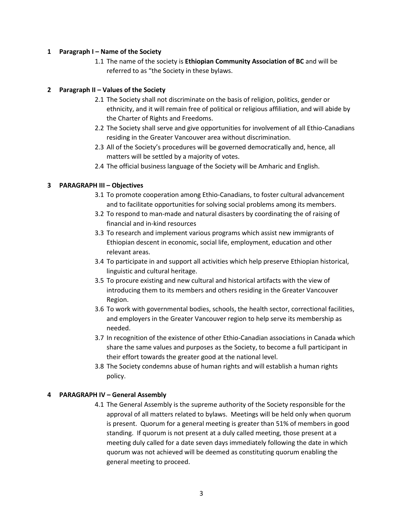# **1 Paragraph I – Name of the Society**

1.1 The name of the society is **Ethiopian Community Association of BC** and will be referred to as "the Society in these bylaws.

# **2 Paragraph II – Values of the Society**

- 2.1 The Society shall not discriminate on the basis of religion, politics, gender or ethnicity, and it will remain free of political or religious affiliation, and will abide by the Charter of Rights and Freedoms.
- 2.2 The Society shall serve and give opportunities for involvement of all Ethio-Canadians residing in the Greater Vancouver area without discrimination.
- 2.3 All of the Society's procedures will be governed democratically and, hence, all matters will be settled by a majority of votes.
- 2.4 The official business language of the Society will be Amharic and English.

# **3 PARAGRAPH III – Objectives**

- 3.1 To promote cooperation among Ethio-Canadians, to foster cultural advancement and to facilitate opportunities for solving social problems among its members.
- 3.2 To respond to man-made and natural disasters by coordinating the of raising of financial and in-kind resources
- 3.3 To research and implement various programs which assist new immigrants of Ethiopian descent in economic, social life, employment, education and other relevant areas.
- 3.4 To participate in and support all activities which help preserve Ethiopian historical, linguistic and cultural heritage.
- 3.5 To procure existing and new cultural and historical artifacts with the view of introducing them to its members and others residing in the Greater Vancouver Region.
- 3.6 To work with governmental bodies, schools, the health sector, correctional facilities, and employers in the Greater Vancouver region to help serve its membership as needed.
- 3.7 In recognition of the existence of other Ethio-Canadian associations in Canada which share the same values and purposes as the Society, to become a full participant in their effort towards the greater good at the national level.
- 3.8 The Society condemns abuse of human rights and will establish a human rights policy.

# **4 PARAGRAPH IV – General Assembly**

4.1 The General Assembly is the supreme authority of the Society responsible for the approval of all matters related to bylaws. Meetings will be held only when quorum is present. Quorum for a general meeting is greater than 51% of members in good standing. If quorum is not present at a duly called meeting, those present at a meeting duly called for a date seven days immediately following the date in which quorum was not achieved will be deemed as constituting quorum enabling the general meeting to proceed.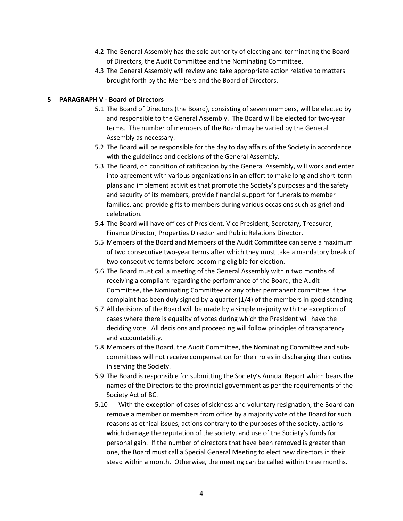- 4.2 The General Assembly has the sole authority of electing and terminating the Board of Directors, the Audit Committee and the Nominating Committee.
- 4.3 The General Assembly will review and take appropriate action relative to matters brought forth by the Members and the Board of Directors.

#### **5 PARAGRAPH V - Board of Directors**

- 5.1 The Board of Directors (the Board), consisting of seven members, will be elected by and responsible to the General Assembly. The Board will be elected for two-year terms. The number of members of the Board may be varied by the General Assembly as necessary.
- 5.2 The Board will be responsible for the day to day affairs of the Society in accordance with the guidelines and decisions of the General Assembly.
- 5.3 The Board, on condition of ratification by the General Assembly, will work and enter into agreement with various organizations in an effort to make long and short-term plans and implement activities that promote the Society's purposes and the safety and security of its members, provide financial support for funerals to member families, and provide gifts to members during various occasions such as grief and celebration.
- 5.4 The Board will have offices of President, Vice President, Secretary, Treasurer, Finance Director, Properties Director and Public Relations Director.
- 5.5 Members of the Board and Members of the Audit Committee can serve a maximum of two consecutive two-year terms after which they must take a mandatory break of two consecutive terms before becoming eligible for election.
- 5.6 The Board must call a meeting of the General Assembly within two months of receiving a compliant regarding the performance of the Board, the Audit Committee, the Nominating Committee or any other permanent committee if the complaint has been duly signed by a quarter (1/4) of the members in good standing.
- 5.7 All decisions of the Board will be made by a simple majority with the exception of cases where there is equality of votes during which the President will have the deciding vote. All decisions and proceeding will follow principles of transparency and accountability.
- 5.8 Members of the Board, the Audit Committee, the Nominating Committee and subcommittees will not receive compensation for their roles in discharging their duties in serving the Society.
- 5.9 The Board is responsible for submitting the Society's Annual Report which bears the names of the Directors to the provincial government as per the requirements of the Society Act of BC.
- 5.10 With the exception of cases of sickness and voluntary resignation, the Board can remove a member or members from office by a majority vote of the Board for such reasons as ethical issues, actions contrary to the purposes of the society, actions which damage the reputation of the society, and use of the Society's funds for personal gain. If the number of directors that have been removed is greater than one, the Board must call a Special General Meeting to elect new directors in their stead within a month. Otherwise, the meeting can be called within three months.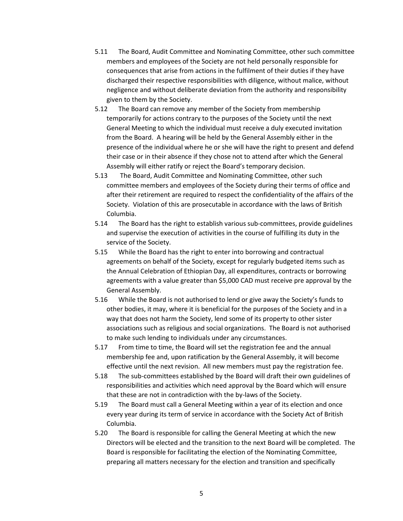- 5.11 The Board, Audit Committee and Nominating Committee, other such committee members and employees of the Society are not held personally responsible for consequences that arise from actions in the fulfilment of their duties if they have discharged their respective responsibilities with diligence, without malice, without negligence and without deliberate deviation from the authority and responsibility given to them by the Society.
- 5.12 The Board can remove any member of the Society from membership temporarily for actions contrary to the purposes of the Society until the next General Meeting to which the individual must receive a duly executed invitation from the Board. A hearing will be held by the General Assembly either in the presence of the individual where he or she will have the right to present and defend their case or in their absence if they chose not to attend after which the General Assembly will either ratify or reject the Board's temporary decision.
- 5.13 The Board, Audit Committee and Nominating Committee, other such committee members and employees of the Society during their terms of office and after their retirement are required to respect the confidentiality of the affairs of the Society. Violation of this are prosecutable in accordance with the laws of British Columbia.
- 5.14 The Board has the right to establish various sub-committees, provide guidelines and supervise the execution of activities in the course of fulfilling its duty in the service of the Society.
- 5.15 While the Board has the right to enter into borrowing and contractual agreements on behalf of the Society, except for regularly budgeted items such as the Annual Celebration of Ethiopian Day, all expenditures, contracts or borrowing agreements with a value greater than \$5,000 CAD must receive pre approval by the General Assembly.
- 5.16 While the Board is not authorised to lend or give away the Society's funds to other bodies, it may, where it is beneficial for the purposes of the Society and in a way that does not harm the Society, lend some of its property to other sister associations such as religious and social organizations. The Board is not authorised to make such lending to individuals under any circumstances.
- 5.17 From time to time, the Board will set the registration fee and the annual membership fee and, upon ratification by the General Assembly, it will become effective until the next revision. All new members must pay the registration fee.
- 5.18 The sub-committees established by the Board will draft their own guidelines of responsibilities and activities which need approval by the Board which will ensure that these are not in contradiction with the by-laws of the Society.
- 5.19 The Board must call a General Meeting within a year of its election and once every year during its term of service in accordance with the Society Act of British Columbia.
- 5.20 The Board is responsible for calling the General Meeting at which the new Directors will be elected and the transition to the next Board will be completed. The Board is responsible for facilitating the election of the Nominating Committee, preparing all matters necessary for the election and transition and specifically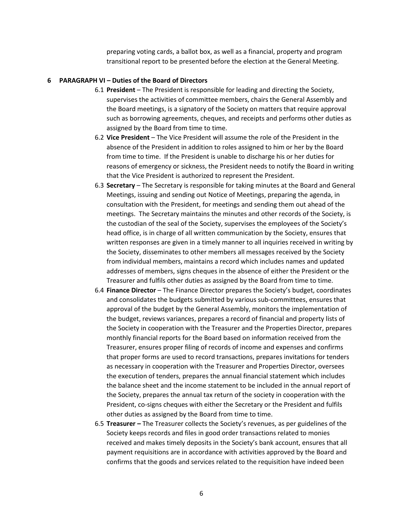preparing voting cards, a ballot box, as well as a financial, property and program transitional report to be presented before the election at the General Meeting.

#### **6 PARAGRAPH VI – Duties of the Board of Directors**

- 6.1 **President** The President is responsible for leading and directing the Society, supervises the activities of committee members, chairs the General Assembly and the Board meetings, is a signatory of the Society on matters that require approval such as borrowing agreements, cheques, and receipts and performs other duties as assigned by the Board from time to time.
- 6.2 **Vice President**  The Vice President will assume the role of the President in the absence of the President in addition to roles assigned to him or her by the Board from time to time. If the President is unable to discharge his or her duties for reasons of emergency or sickness, the President needs to notify the Board in writing that the Vice President is authorized to represent the President.
- 6.3 **Secretary**  The Secretary is responsible for taking minutes at the Board and General Meetings, issuing and sending out Notice of Meetings, preparing the agenda, in consultation with the President, for meetings and sending them out ahead of the meetings. The Secretary maintains the minutes and other records of the Society, is the custodian of the seal of the Society, supervises the employees of the Society's head office, is in charge of all written communication by the Society, ensures that written responses are given in a timely manner to all inquiries received in writing by the Society, disseminates to other members all messages received by the Society from individual members, maintains a record which includes names and updated addresses of members, signs cheques in the absence of either the President or the Treasurer and fulfils other duties as assigned by the Board from time to time.
- 6.4 **Finance Director**  The Finance Director prepares the Society's budget, coordinates and consolidates the budgets submitted by various sub-committees, ensures that approval of the budget by the General Assembly, monitors the implementation of the budget, reviews variances, prepares a record of financial and property lists of the Society in cooperation with the Treasurer and the Properties Director, prepares monthly financial reports for the Board based on information received from the Treasurer, ensures proper filing of records of income and expenses and confirms that proper forms are used to record transactions, prepares invitations for tenders as necessary in cooperation with the Treasurer and Properties Director, oversees the execution of tenders, prepares the annual financial statement which includes the balance sheet and the income statement to be included in the annual report of the Society, prepares the annual tax return of the society in cooperation with the President, co-signs cheques with either the Secretary or the President and fulfils other duties as assigned by the Board from time to time.
- 6.5 **Treasurer –** The Treasurer collects the Society's revenues, as per guidelines of the Society keeps records and files in good order transactions related to monies received and makes timely deposits in the Society's bank account, ensures that all payment requisitions are in accordance with activities approved by the Board and confirms that the goods and services related to the requisition have indeed been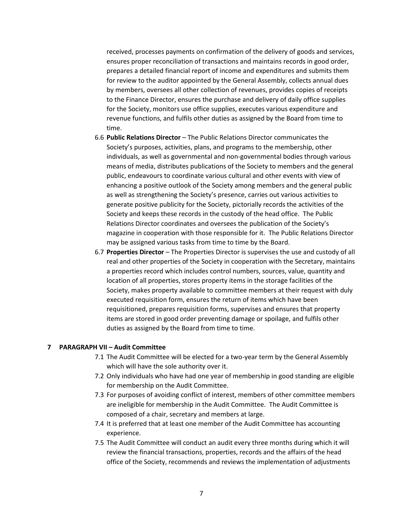received, processes payments on confirmation of the delivery of goods and services, ensures proper reconciliation of transactions and maintains records in good order, prepares a detailed financial report of income and expenditures and submits them for review to the auditor appointed by the General Assembly, collects annual dues by members, oversees all other collection of revenues, provides copies of receipts to the Finance Director, ensures the purchase and delivery of daily office supplies for the Society, monitors use office supplies, executes various expenditure and revenue functions, and fulfils other duties as assigned by the Board from time to time.

- 6.6 **Public Relations Director**  The Public Relations Director communicates the Society's purposes, activities, plans, and programs to the membership, other individuals, as well as governmental and non-governmental bodies through various means of media, distributes publications of the Society to members and the general public, endeavours to coordinate various cultural and other events with view of enhancing a positive outlook of the Society among members and the general public as well as strengthening the Society's presence, carries out various activities to generate positive publicity for the Society, pictorially records the activities of the Society and keeps these records in the custody of the head office. The Public Relations Director coordinates and oversees the publication of the Society's magazine in cooperation with those responsible for it. The Public Relations Director may be assigned various tasks from time to time by the Board.
- 6.7 **Properties Director**  The Properties Director is supervises the use and custody of all real and other properties of the Society in cooperation with the Secretary, maintains a properties record which includes control numbers, sources, value, quantity and location of all properties, stores property items in the storage facilities of the Society, makes property available to committee members at their request with duly executed requisition form, ensures the return of items which have been requisitioned, prepares requisition forms, supervises and ensures that property items are stored in good order preventing damage or spoilage, and fulfils other duties as assigned by the Board from time to time.

#### **7 PARAGRAPH VII – Audit Committee**

- 7.1 The Audit Committee will be elected for a two-year term by the General Assembly which will have the sole authority over it.
- 7.2 Only individuals who have had one year of membership in good standing are eligible for membership on the Audit Committee.
- 7.3 For purposes of avoiding conflict of interest, members of other committee members are ineligible for membership in the Audit Committee. The Audit Committee is composed of a chair, secretary and members at large.
- 7.4 It is preferred that at least one member of the Audit Committee has accounting experience.
- 7.5 The Audit Committee will conduct an audit every three months during which it will review the financial transactions, properties, records and the affairs of the head office of the Society, recommends and reviews the implementation of adjustments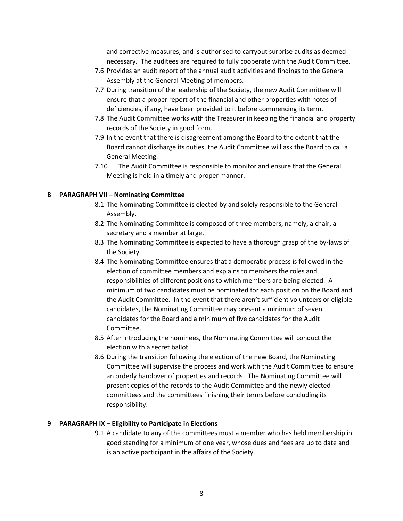and corrective measures, and is authorised to carryout surprise audits as deemed necessary. The auditees are required to fully cooperate with the Audit Committee.

- 7.6 Provides an audit report of the annual audit activities and findings to the General Assembly at the General Meeting of members.
- 7.7 During transition of the leadership of the Society, the new Audit Committee will ensure that a proper report of the financial and other properties with notes of deficiencies, if any, have been provided to it before commencing its term.
- 7.8 The Audit Committee works with the Treasurer in keeping the financial and property records of the Society in good form.
- 7.9 In the event that there is disagreement among the Board to the extent that the Board cannot discharge its duties, the Audit Committee will ask the Board to call a General Meeting.
- 7.10 The Audit Committee is responsible to monitor and ensure that the General Meeting is held in a timely and proper manner.

# **8 PARAGRAPH VII – Nominating Committee**

- 8.1 The Nominating Committee is elected by and solely responsible to the General Assembly.
- 8.2 The Nominating Committee is composed of three members, namely, a chair, a secretary and a member at large.
- 8.3 The Nominating Committee is expected to have a thorough grasp of the by-laws of the Society.
- 8.4 The Nominating Committee ensures that a democratic process is followed in the election of committee members and explains to members the roles and responsibilities of different positions to which members are being elected. A minimum of two candidates must be nominated for each position on the Board and the Audit Committee. In the event that there aren't sufficient volunteers or eligible candidates, the Nominating Committee may present a minimum of seven candidates for the Board and a minimum of five candidates for the Audit Committee.
- 8.5 After introducing the nominees, the Nominating Committee will conduct the election with a secret ballot.
- 8.6 During the transition following the election of the new Board, the Nominating Committee will supervise the process and work with the Audit Committee to ensure an orderly handover of properties and records. The Nominating Committee will present copies of the records to the Audit Committee and the newly elected committees and the committees finishing their terms before concluding its responsibility.

#### **9 PARAGRAPH IX – Eligibility to Participate in Elections**

9.1 A candidate to any of the committees must a member who has held membership in good standing for a minimum of one year, whose dues and fees are up to date and is an active participant in the affairs of the Society.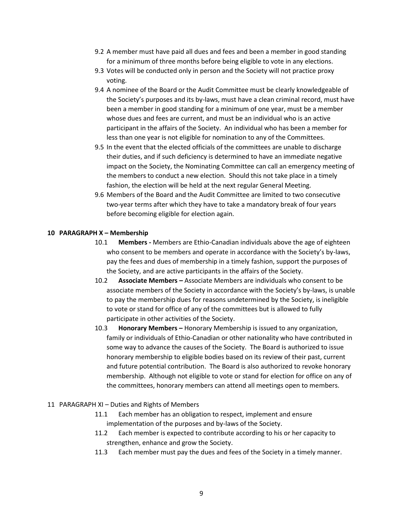- 9.2 A member must have paid all dues and fees and been a member in good standing for a minimum of three months before being eligible to vote in any elections.
- 9.3 Votes will be conducted only in person and the Society will not practice proxy voting.
- 9.4 A nominee of the Board or the Audit Committee must be clearly knowledgeable of the Society's purposes and its by-laws, must have a clean criminal record, must have been a member in good standing for a minimum of one year, must be a member whose dues and fees are current, and must be an individual who is an active participant in the affairs of the Society. An individual who has been a member for less than one year is not eligible for nomination to any of the Committees.
- 9.5 In the event that the elected officials of the committees are unable to discharge their duties, and if such deficiency is determined to have an immediate negative impact on the Society, the Nominating Committee can call an emergency meeting of the members to conduct a new election. Should this not take place in a timely fashion, the election will be held at the next regular General Meeting.
- 9.6 Members of the Board and the Audit Committee are limited to two consecutive two-year terms after which they have to take a mandatory break of four years before becoming eligible for election again.

# **10 PARAGRAPH X – Membership**

- 10.1 **Members -** Members are Ethio-Canadian individuals above the age of eighteen who consent to be members and operate in accordance with the Society's by-laws, pay the fees and dues of membership in a timely fashion, support the purposes of the Society, and are active participants in the affairs of the Society.
- 10.2 **Associate Members –** Associate Members are individuals who consent to be associate members of the Society in accordance with the Society's by-laws, is unable to pay the membership dues for reasons undetermined by the Society, is ineligible to vote or stand for office of any of the committees but is allowed to fully participate in other activities of the Society.
- 10.3 **Honorary Members –** Honorary Membership is issued to any organization, family or individuals of Ethio-Canadian or other nationality who have contributed in some way to advance the causes of the Society. The Board is authorized to issue honorary membership to eligible bodies based on its review of their past, current and future potential contribution. The Board is also authorized to revoke honorary membership. Although not eligible to vote or stand for election for office on any of the committees, honorary members can attend all meetings open to members.

# 11 PARAGRAPH XI – Duties and Rights of Members

- 11.1 Each member has an obligation to respect, implement and ensure implementation of the purposes and by-laws of the Society.
- 11.2 Each member is expected to contribute according to his or her capacity to strengthen, enhance and grow the Society.
- 11.3 Each member must pay the dues and fees of the Society in a timely manner.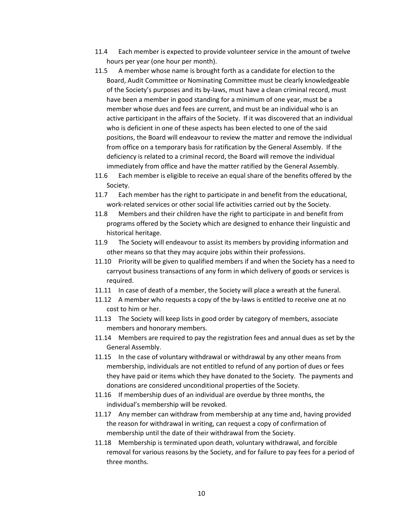- 11.4 Each member is expected to provide volunteer service in the amount of twelve hours per year (one hour per month).
- 11.5 A member whose name is brought forth as a candidate for election to the Board, Audit Committee or Nominating Committee must be clearly knowledgeable of the Society's purposes and its by-laws, must have a clean criminal record, must have been a member in good standing for a minimum of one year, must be a member whose dues and fees are current, and must be an individual who is an active participant in the affairs of the Society. If it was discovered that an individual who is deficient in one of these aspects has been elected to one of the said positions, the Board will endeavour to review the matter and remove the individual from office on a temporary basis for ratification by the General Assembly. If the deficiency is related to a criminal record, the Board will remove the individual immediately from office and have the matter ratified by the General Assembly.
- 11.6 Each member is eligible to receive an equal share of the benefits offered by the Society.
- 11.7 Each member has the right to participate in and benefit from the educational, work-related services or other social life activities carried out by the Society.
- 11.8 Members and their children have the right to participate in and benefit from programs offered by the Society which are designed to enhance their linguistic and historical heritage.
- 11.9 The Society will endeavour to assist its members by providing information and other means so that they may acquire jobs within their professions.
- 11.10 Priority will be given to qualified members if and when the Society has a need to carryout business transactions of any form in which delivery of goods or services is required.
- 11.11 In case of death of a member, the Society will place a wreath at the funeral.
- 11.12 A member who requests a copy of the by-laws is entitled to receive one at no cost to him or her.
- 11.13 The Society will keep lists in good order by category of members, associate members and honorary members.
- 11.14 Members are required to pay the registration fees and annual dues as set by the General Assembly.
- 11.15 In the case of voluntary withdrawal or withdrawal by any other means from membership, individuals are not entitled to refund of any portion of dues or fees they have paid or items which they have donated to the Society. The payments and donations are considered unconditional properties of the Society.
- 11.16 If membership dues of an individual are overdue by three months, the individual's membership will be revoked.
- 11.17 Any member can withdraw from membership at any time and, having provided the reason for withdrawal in writing, can request a copy of confirmation of membership until the date of their withdrawal from the Society.
- 11.18 Membership is terminated upon death, voluntary withdrawal, and forcible removal for various reasons by the Society, and for failure to pay fees for a period of three months.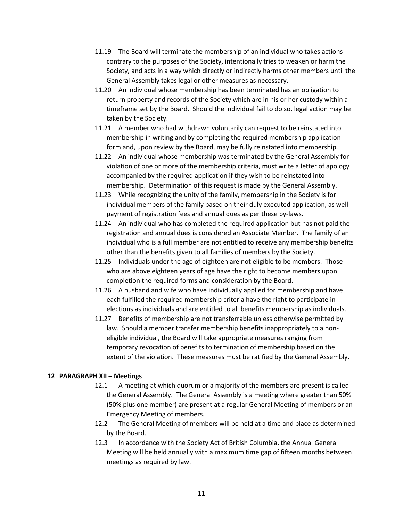- 11.19 The Board will terminate the membership of an individual who takes actions contrary to the purposes of the Society, intentionally tries to weaken or harm the Society, and acts in a way which directly or indirectly harms other members until the General Assembly takes legal or other measures as necessary.
- 11.20 An individual whose membership has been terminated has an obligation to return property and records of the Society which are in his or her custody within a timeframe set by the Board. Should the individual fail to do so, legal action may be taken by the Society.
- 11.21 A member who had withdrawn voluntarily can request to be reinstated into membership in writing and by completing the required membership application form and, upon review by the Board, may be fully reinstated into membership.
- 11.22 An individual whose membership was terminated by the General Assembly for violation of one or more of the membership criteria, must write a letter of apology accompanied by the required application if they wish to be reinstated into membership. Determination of this request is made by the General Assembly.
- 11.23 While recognizing the unity of the family, membership in the Society is for individual members of the family based on their duly executed application, as well payment of registration fees and annual dues as per these by-laws.
- 11.24 An individual who has completed the required application but has not paid the registration and annual dues is considered an Associate Member. The family of an individual who is a full member are not entitled to receive any membership benefits other than the benefits given to all families of members by the Society.
- 11.25 Individuals under the age of eighteen are not eligible to be members. Those who are above eighteen years of age have the right to become members upon completion the required forms and consideration by the Board.
- 11.26 A husband and wife who have individually applied for membership and have each fulfilled the required membership criteria have the right to participate in elections as individuals and are entitled to all benefits membership as individuals.
- 11.27 Benefits of membership are not transferrable unless otherwise permitted by law. Should a member transfer membership benefits inappropriately to a noneligible individual, the Board will take appropriate measures ranging from temporary revocation of benefits to termination of membership based on the extent of the violation. These measures must be ratified by the General Assembly.

# **12 PARAGRAPH XII – Meetings**

- 12.1 A meeting at which quorum or a majority of the members are present is called the General Assembly. The General Assembly is a meeting where greater than 50% (50% plus one member) are present at a regular General Meeting of members or an Emergency Meeting of members.
- 12.2 The General Meeting of members will be held at a time and place as determined by the Board.
- 12.3 In accordance with the Society Act of British Columbia, the Annual General Meeting will be held annually with a maximum time gap of fifteen months between meetings as required by law.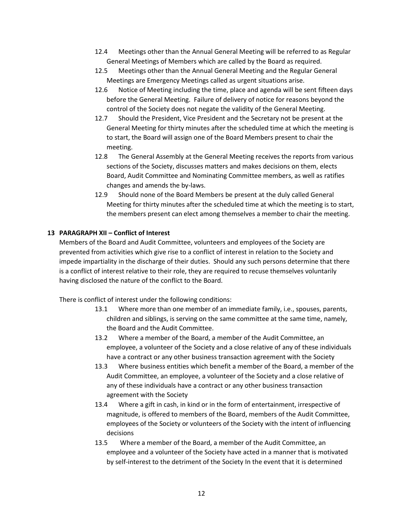- 12.4 Meetings other than the Annual General Meeting will be referred to as Regular General Meetings of Members which are called by the Board as required.
- 12.5 Meetings other than the Annual General Meeting and the Regular General Meetings are Emergency Meetings called as urgent situations arise.
- 12.6 Notice of Meeting including the time, place and agenda will be sent fifteen days before the General Meeting. Failure of delivery of notice for reasons beyond the control of the Society does not negate the validity of the General Meeting.
- 12.7 Should the President, Vice President and the Secretary not be present at the General Meeting for thirty minutes after the scheduled time at which the meeting is to start, the Board will assign one of the Board Members present to chair the meeting.
- 12.8 The General Assembly at the General Meeting receives the reports from various sections of the Society, discusses matters and makes decisions on them, elects Board, Audit Committee and Nominating Committee members, as well as ratifies changes and amends the by-laws.
- 12.9 Should none of the Board Members be present at the duly called General Meeting for thirty minutes after the scheduled time at which the meeting is to start, the members present can elect among themselves a member to chair the meeting.

# **13 PARAGRAPH XII – Conflict of Interest**

Members of the Board and Audit Committee, volunteers and employees of the Society are prevented from activities which give rise to a conflict of interest in relation to the Society and impede impartiality in the discharge of their duties. Should any such persons determine that there is a conflict of interest relative to their role, they are required to recuse themselves voluntarily having disclosed the nature of the conflict to the Board.

There is conflict of interest under the following conditions:

- 13.1 Where more than one member of an immediate family, i.e., spouses, parents, children and siblings, is serving on the same committee at the same time, namely, the Board and the Audit Committee.
- 13.2 Where a member of the Board, a member of the Audit Committee, an employee, a volunteer of the Society and a close relative of any of these individuals have a contract or any other business transaction agreement with the Society
- 13.3 Where business entities which benefit a member of the Board, a member of the Audit Committee, an employee, a volunteer of the Society and a close relative of any of these individuals have a contract or any other business transaction agreement with the Society
- 13.4 Where a gift in cash, in kind or in the form of entertainment, irrespective of magnitude, is offered to members of the Board, members of the Audit Committee, employees of the Society or volunteers of the Society with the intent of influencing decisions
- 13.5 Where a member of the Board, a member of the Audit Committee, an employee and a volunteer of the Society have acted in a manner that is motivated by self-interest to the detriment of the Society In the event that it is determined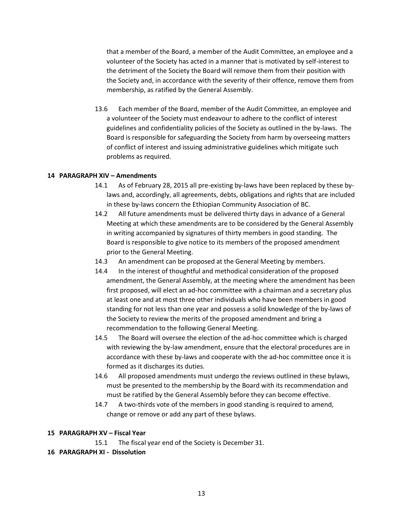that a member of the Board, a member of the Audit Committee, an employee and a volunteer of the Society has acted in a manner that is motivated by self-interest to the detriment of the Society the Board will remove them from their position with the Society and, in accordance with the severity of their offence, remove them from membership, as ratified by the General Assembly.

13.6 Each member of the Board, member of the Audit Committee, an employee and a volunteer of the Society must endeavour to adhere to the conflict of interest guidelines and confidentiality policies of the Society as outlined in the by-laws. The Board is responsible for safeguarding the Society from harm by overseeing matters of conflict of interest and issuing administrative guidelines which mitigate such problems as required.

# **14 PARAGRAPH XIV – Amendments**

- 14.1 As of February 28, 2015 all pre-existing by-laws have been replaced by these bylaws and, accordingly, all agreements, debts, obligations and rights that are included in these by-laws concern the Ethiopian Community Association of BC.
- 14.2 All future amendments must be delivered thirty days in advance of a General Meeting at which these amendments are to be considered by the General Assembly in writing accompanied by signatures of thirty members in good standing. The Board is responsible to give notice to its members of the proposed amendment prior to the General Meeting.
- 14.3 An amendment can be proposed at the General Meeting by members.
- 14.4 In the interest of thoughtful and methodical consideration of the proposed amendment, the General Assembly, at the meeting where the amendment has been first proposed, will elect an ad-hoc committee with a chairman and a secretary plus at least one and at most three other individuals who have been members in good standing for not less than one year and possess a solid knowledge of the by-laws of the Society to review the merits of the proposed amendment and bring a recommendation to the following General Meeting.
- 14.5 The Board will oversee the election of the ad-hoc committee which is charged with reviewing the by-law amendment, ensure that the electoral procedures are in accordance with these by-laws and cooperate with the ad-hoc committee once it is formed as it discharges its duties.
- 14.6 All proposed amendments must undergo the reviews outlined in these bylaws, must be presented to the membership by the Board with its recommendation and must be ratified by the General Assembly before they can become effective.
- 14.7 A two-thirds vote of the members in good standing is required to amend, change or remove or add any part of these bylaws.

# **15 PARAGRAPH XV – Fiscal Year**

15.1 The fiscal year end of the Society is December 31.

**16 PARAGRAPH XI - Dissolution**